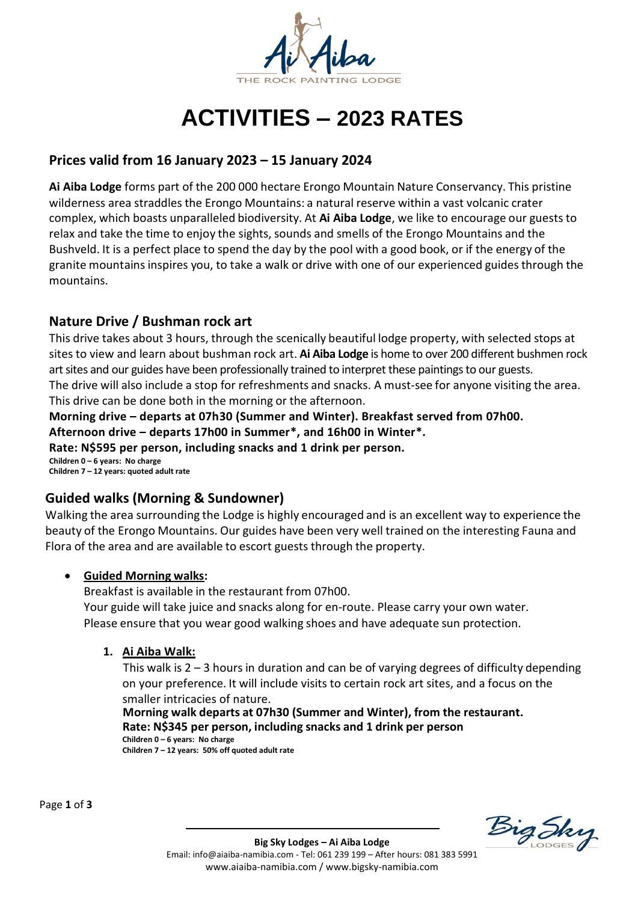

# **ACTIVITIES – 2023 RATES**

## **Prices valid from 16 January 2023 – 15 January 2024**

**Ai Aiba Lodge** forms part of the 200 000 hectare Erongo Mountain Nature Conservancy. This pristine wilderness area straddles the Erongo Mountains: a natural reserve within a vast volcanic crater complex, which boasts unparalleled biodiversity. At **Ai Aiba Lodge**, we like to encourage our guests to relax and take the time to enjoy the sights, sounds and smells of the Erongo Mountains and the Bushveld. It is a perfect place to spend the day by the pool with a good book, or if the energy of the granite mountains inspires you, to take a walk or drive with one of our experienced guides through the mountains.

## **Nature Drive / Bushman rock art**

This drive takes about 3 hours, through the scenically beautiful lodge property, with selected stops at sites to view and learn about bushman rock art. **Ai Aiba Lodge** is home to over 200 different bushmen rock art sites and our guides have been professionally trained to interpret these paintings to our guests. The drive will also include a stop for refreshments and snacks. A must-see for anyone visiting the area. This drive can be done both in the morning or the afternoon.

**Morning drive – departs at 07h30 (Summer and Winter). Breakfast served from 07h00. Afternoon drive – departs 17h00 in Summer\*, and 16h00 in Winter\*. Rate: N\$595 per person, including snacks and 1 drink per person. Children 0 – 6 years: No charge Children 7 – 12 years: quoted adult rate** 

## **Guided walks (Morning & Sundowner)**

Walking the area surrounding the Lodge is highly encouraged and is an excellent way to experience the beauty of the Erongo Mountains. Our guides have been very well trained on the interesting Fauna and Flora of the area and are available to escort guests through the property.

## • **Guided Morning walks:**

Breakfast is available in the restaurant from 07h00. Your guide will take juice and snacks along for en-route. Please carry your own water. Please ensure that you wear good walking shoes and have adequate sun protection.

## **1. Ai Aiba Walk:**

This walk is  $2 - 3$  hours in duration and can be of varying degrees of difficulty depending on your preference. It will include visits to certain rock art sites, and a focus on the smaller intricacies of nature.

 **Morning walk departs at 07h30 (Summer and Winter), from the restaurant. Rate: N\$345 per person, including snacks and 1 drink per person Children 0 – 6 years: No charge Children 7 – 12 years: 50% off quoted adult rate** 

Page **1** of **3**

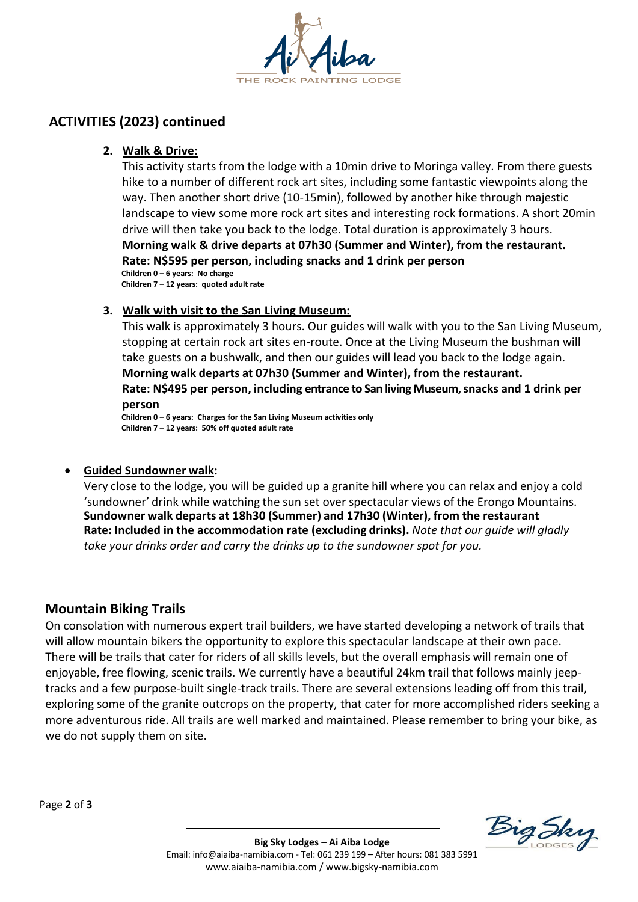

## **ACTIVITIES (2023) continued**

#### **2. Walk & Drive:**

This activity starts from the lodge with a 10min drive to Moringa valley. From there guests hike to a number of different rock art sites, including some fantastic viewpoints along the way. Then another short drive (10-15min), followed by another hike through majestic landscape to view some more rock art sites and interesting rock formations. A short 20min drive will then take you back to the lodge. Total duration is approximately 3 hours. **Morning walk & drive departs at 07h30 (Summer and Winter), from the restaurant. Rate: N\$595 per person, including snacks and 1 drink per person Children 0 – 6 years: No charge** 

**Children 7 – 12 years: quoted adult rate**

#### **3. Walk with visit to the San Living Museum:**

This walk is approximately 3 hours. Our guides will walk with you to the San Living Museum, stopping at certain rock art sites en-route. Once at the Living Museum the bushman will take guests on a bushwalk, and then our guides will lead you back to the lodge again. **Morning walk departs at 07h30 (Summer and Winter), from the restaurant. Rate: N\$495 per person, including entrance to San living Museum, snacks and 1 drink per person**

**Children 0 – 6 years: Charges for the San Living Museum activities only Children 7 – 12 years: 50% off quoted adult rate**

#### • **Guided Sundowner walk:**

Very close to the lodge, you will be guided up a granite hill where you can relax and enjoy a cold 'sundowner' drink while watching the sun set over spectacular views of the Erongo Mountains. **Sundowner walk departs at 18h30 (Summer) and 17h30 (Winter), from the restaurant Rate: Included in the accommodation rate (excluding drinks).** *Note that our guide will gladly take your drinks order and carry the drinks up to the sundowner spot for you.*

## **Mountain Biking Trails**

On consolation with numerous expert trail builders, we have started developing a network of trails that will allow mountain bikers the opportunity to explore this spectacular landscape at their own pace. There will be trails that cater for riders of all skills levels, but the overall emphasis will remain one of enjoyable, free flowing, scenic trails. We currently have a beautiful 24km trail that follows mainly jeeptracks and a few purpose-built single-track trails. There are several extensions leading off from this trail, exploring some of the granite outcrops on the property, that cater for more accomplished riders seeking a more adventurous ride. All trails are well marked and maintained. Please remember to bring your bike, as we do not supply them on site.

Page **2** of **3**